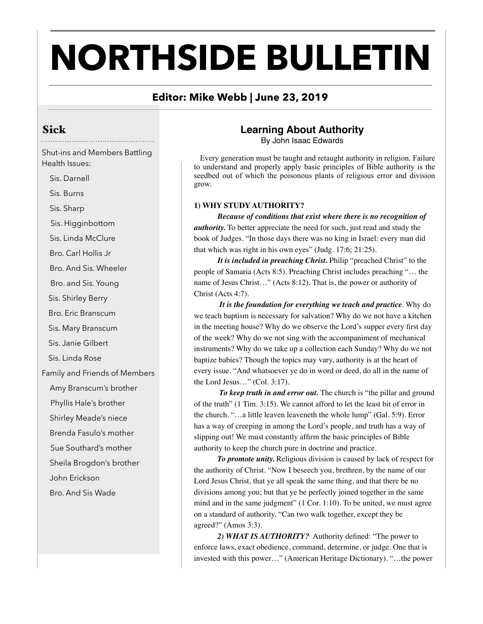# **NORTHSIDE BULLETIN**

## **Editor: Mike Webb | June 23, 2019**

## Sick

Shut-ins and Members Battling Health Issues:

Sis. Darnell

Sis. Burns

Sis. Sharp

Sis. Higginbottom

Sis. Linda McClure

Bro. Carl Hollis Jr

Bro. And Sis. Wheeler

Bro. and Sis. Young

Sis. Shirley Berry

Bro. Eric Branscum

Sis. Mary Branscum

Sis. Janie Gilbert

Sis. Linda Rose

Family and Friends of Members

Amy Branscum's brother

Phyllis Hale's brother

Shirley Meade's niece

Brenda Fasulo's mother

Sue Southard's mother

Sheila Brogdon's brother

John Erickson

Bro. And Sis Wade

### **Learning About Authority**

By John Isaac Edwards

 Every generation must be taught and retaught authority in religion. Failure to understand and properly apply basic principles of Bible authority is the seedbed out of which the poisonous plants of religious error and division grow.

#### **1) WHY STUDY AUTHORITY?**

*Because of conditions that exist where there is no recognition of authority.* To better appreciate the need for such, just read and study the book of Judges. "In those days there was no king in Israel: every man did that which was right in his own eyes" (Judg. 17:6; 21:25).

*It is included in preaching Christ.* Philip "preached Christ" to the people of Samaria (Acts 8:5). Preaching Christ includes preaching "… the name of Jesus Christ…" (Acts 8:12). That is, the power or authority of Christ (Acts 4:7).

 *It is the foundation for everything we teach and practice*. Why do we teach baptism is necessary for salvation? Why do we not have a kitchen in the meeting house? Why do we observe the Lord's supper every first day of the week? Why do we not sing with the accompaniment of mechanical instruments? Why do we take up a collection each Sunday? Why do we not baptize babies? Though the topics may vary, authority is at the heart of every issue. "And whatsoever ye do in word or deed, do all in the name of the Lord Jesus…" (Col. 3:17).

 *To keep truth in and error out.* The church is "the pillar and ground of the truth" (1 Tim. 3:15). We cannot afford to let the least bit of error in the church. "…a little leaven leaveneth the whole lump" (Gal. 5:9). Error has a way of creeping in among the Lord's people, and truth has a way of slipping out! We must constantly affirm the basic principles of Bible authority to keep the church pure in doctrine and practice.

*To promote unity.* Religious division is caused by lack of respect for the authority of Christ. "Now I beseech you, brethren, by the name of our Lord Jesus Christ, that ye all speak the same thing, and that there be no divisions among you; but that ye be perfectly joined together in the same mind and in the same judgment" (1 Cor. 1:10). To be united, we must agree on a standard of authority. "Can two walk together, except they be agreed?" (Amos 3:3).

*2) WHAT IS AUTHORITY?* Authority defined: "The power to enforce laws, exact obedience, command, determine, or judge. One that is invested with this power…" (American Heritage Dictionary). "…the power